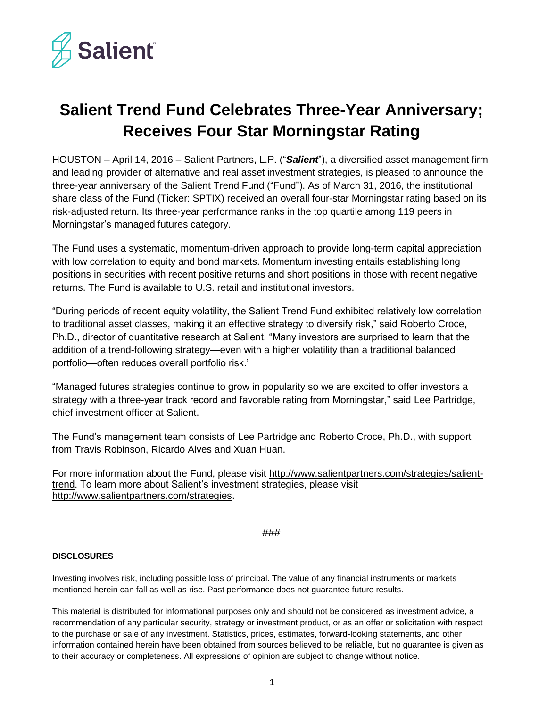

## **Salient Trend Fund Celebrates Three-Year Anniversary; Receives Four Star Morningstar Rating**

HOUSTON – April 14, 2016 – Salient Partners, L.P. ("*Salient*"), a diversified asset management firm and leading provider of alternative and real asset investment strategies, is pleased to announce the three-year anniversary of the Salient Trend Fund ("Fund"). As of March 31, 2016, the institutional share class of the Fund (Ticker: SPTIX) received an overall four-star Morningstar rating based on its risk-adjusted return. Its three-year performance ranks in the top quartile among 119 peers in Morningstar's managed futures category.

The Fund uses a systematic, momentum-driven approach to provide long-term capital appreciation with low correlation to equity and bond markets. Momentum investing entails establishing long positions in securities with recent positive returns and short positions in those with recent negative returns. The Fund is available to U.S. retail and institutional investors.

"During periods of recent equity volatility, the Salient Trend Fund exhibited relatively low correlation to traditional asset classes, making it an effective strategy to diversify risk," said Roberto Croce, Ph.D., director of quantitative research at Salient. "Many investors are surprised to learn that the addition of a trend-following strategy—even with a higher volatility than a traditional balanced portfolio—often reduces overall portfolio risk."

"Managed futures strategies continue to grow in popularity so we are excited to offer investors a strategy with a three-year track record and favorable rating from Morningstar," said Lee Partridge, chief investment officer at Salient.

The Fund's management team consists of Lee Partridge and Roberto Croce, Ph.D., with support from Travis Robinson, Ricardo Alves and Xuan Huan.

For more information about the Fund, please visit [http://www.salientpartners.com/strategies/salient](http://www.salientpartners.com/strategies/salient-trend)[trend.](http://www.salientpartners.com/strategies/salient-trend) To learn more about Salient's investment strategies, please visit [http://www.salientpartners.com/strategies.](http://www.salientpartners.com/strategies)

###

## **DISCLOSURES**

Investing involves risk, including possible loss of principal. The value of any financial instruments or markets mentioned herein can fall as well as rise. Past performance does not guarantee future results.

This material is distributed for informational purposes only and should not be considered as investment advice, a recommendation of any particular security, strategy or investment product, or as an offer or solicitation with respect to the purchase or sale of any investment. Statistics, prices, estimates, forward-looking statements, and other information contained herein have been obtained from sources believed to be reliable, but no guarantee is given as to their accuracy or completeness. All expressions of opinion are subject to change without notice.